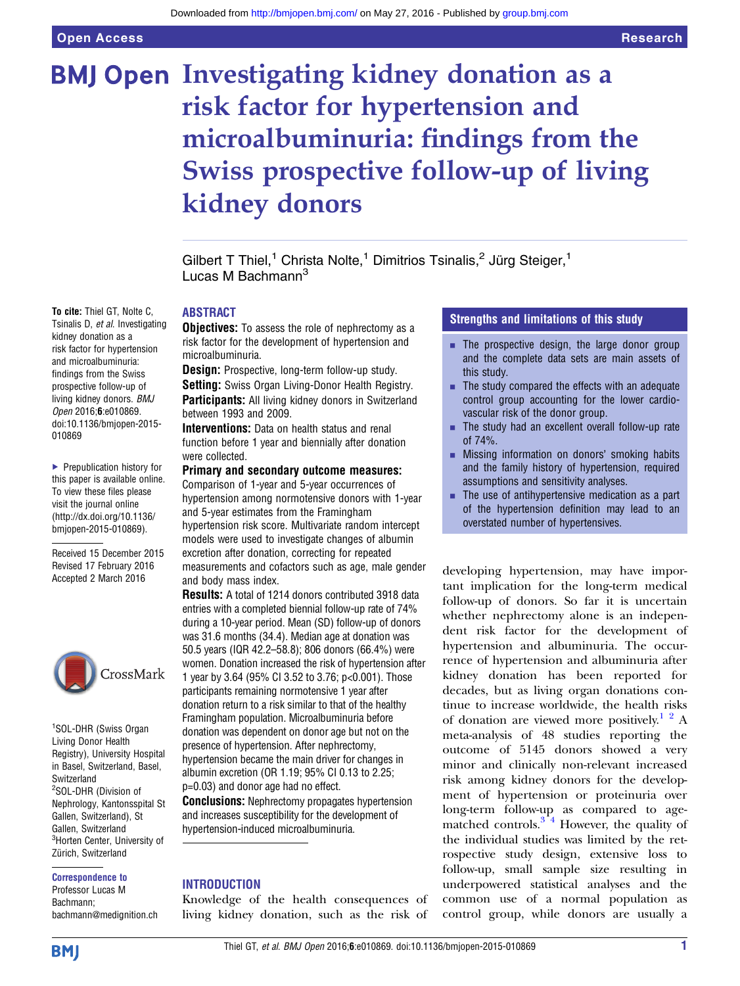# **BMJ Open Investigating kidney donation as a** risk factor for hypertension and microalbuminuria: findings from the Swiss prospective follow-up of living kidney donors

Gilbert T Thiel,<sup>1</sup> Christa Nolte,<sup>1</sup> Dimitrios Tsinalis,<sup>2</sup> Jürg Steiger,<sup>1</sup> Lucas M Bachmann $3$ 

## ABSTRACT

**Objectives:** To assess the role of nephrectomy as a risk factor for the development of hypertension and microalbuminuria.

Design: Prospective, long-term follow-up study. Setting: Swiss Organ Living-Donor Health Registry. Participants: All living kidney donors in Switzerland between 1993 and 2009.

Interventions: Data on health status and renal function before 1 year and biennially after donation were collected.

### Primary and secondary outcome measures:

Comparison of 1-year and 5-year occurrences of hypertension among normotensive donors with 1-year and 5-year estimates from the Framingham hypertension risk score. Multivariate random intercept models were used to investigate changes of albumin excretion after donation, correcting for repeated measurements and cofactors such as age, male gender and body mass index.

Results: A total of 1214 donors contributed 3918 data entries with a completed biennial follow-up rate of 74% during a 10-year period. Mean (SD) follow-up of donors was 31.6 months (34.4). Median age at donation was 50.5 years (IQR 42.2–58.8); 806 donors (66.4%) were women. Donation increased the risk of hypertension after 1 year by 3.64 (95% CI 3.52 to 3.76; p<0.001). Those participants remaining normotensive 1 year after donation return to a risk similar to that of the healthy Framingham population. Microalbuminuria before donation was dependent on donor age but not on the presence of hypertension. After nephrectomy, hypertension became the main driver for changes in albumin excretion (OR 1.19; 95% CI 0.13 to 2.25; p=0.03) and donor age had no effect.

**Conclusions:** Nephrectomy propagates hypertension and increases susceptibility for the development of hypertension-induced microalbuminuria.

#### INTRODUCTION

Knowledge of the health consequences of living kidney donation, such as the risk of

# Strengths and limitations of this study

- $\blacksquare$  The prospective design, the large donor group and the complete data sets are main assets of this study.
- $\blacksquare$  The study compared the effects with an adequate control group accounting for the lower cardiovascular risk of the donor group.
- $\blacksquare$  The study had an excellent overall follow-up rate of 74%.
- **EXECUTE:** Missing information on donors' smoking habits and the family history of hypertension, required assumptions and sensitivity analyses.
- $\blacksquare$  The use of antihypertensive medication as a part of the hypertension definition may lead to an overstated number of hypertensives.

developing hypertension, may have important implication for the long-term medical follow-up of donors. So far it is uncertain whether nephrectomy alone is an independent risk factor for the development of hypertension and albuminuria. The occurrence of hypertension and albuminuria after kidney donation has been reported for decades, but as living organ donations continue to increase worldwide, the health risks of donation are viewed more positively.<sup>1</sup>  $2$ </sup> A meta-analysis of 48 studies reporting the outcome of 5145 donors showed a very minor and clinically non-relevant increased risk among kidney donors for the development of hypertension or proteinuria over long-term follow-up as compared to agematched controls.<sup>3<sup>-4</sup> However, the quality of</sup> the individual studies was limited by the retrospective study design, extensive loss to follow-up, small sample size resulting in underpowered statistical analyses and the common use of a normal population as control group, while donors are usually a

Tsinalis D, et al. Investigating kidney donation as a risk factor for hypertension and microalbuminuria: findings from the Swiss prospective follow-up of living kidney donors. BMJ Open 2016;6:e010869. doi:10.1136/bmjopen-2015- 010869

To cite: Thiel GT, Nolte C,

▶ Prepublication history for this paper is available online. To view these files please visit the journal online [\(http://dx.doi.org/10.1136/](http://dx.doi.org/10.1136/bmjopen-2015-010869) [bmjopen-2015-010869](http://dx.doi.org/10.1136/bmjopen-2015-010869)).

Received 15 December 2015 Revised 17 February 2016 Accepted 2 March 2016



1 SOL-DHR (Swiss Organ Living Donor Health Registry), University Hospital in Basel, Switzerland, Basel, **Switzerland** <sup>2</sup>SOL-DHR (Division of Nephrology, Kantonsspital St Gallen, Switzerland), St Gallen, Switzerland <sup>3</sup>Horten Center, University of Zürich, Switzerland

Correspondence to

Professor Lucas M Bachmann; bachmann@medignition.ch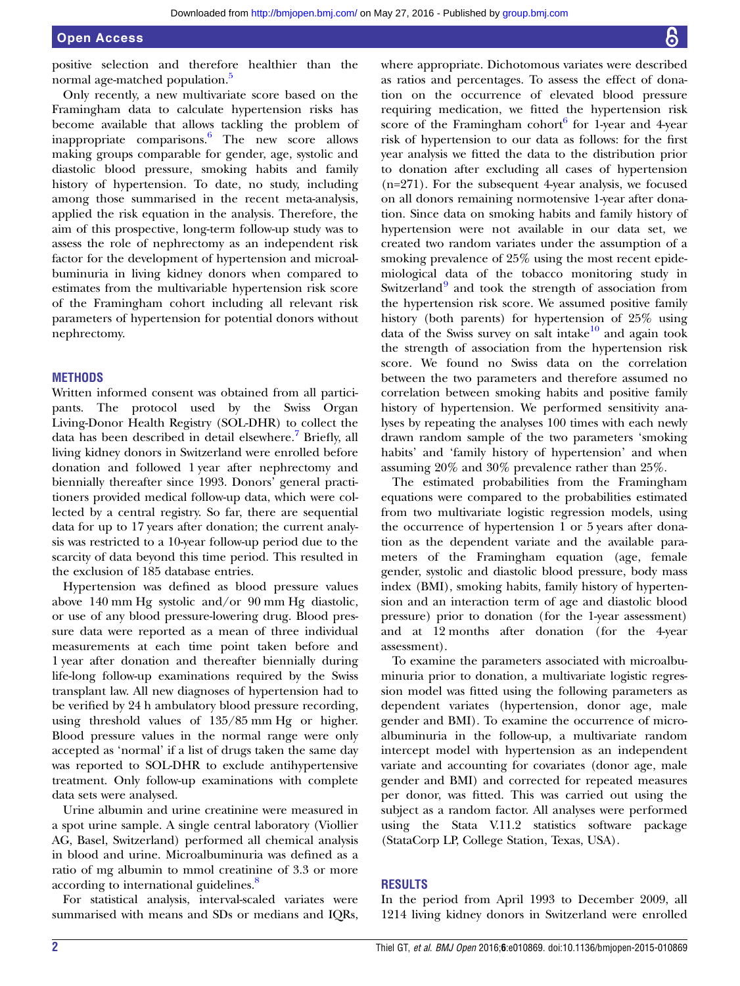positive selection and therefore healthier than the normal age-matched population.<sup>[5](#page-6-0)</sup>

Only recently, a new multivariate score based on the Framingham data to calculate hypertension risks has become available that allows tackling the problem of inappropriate comparisons.[6](#page-6-0) The new score allows making groups comparable for gender, age, systolic and diastolic blood pressure, smoking habits and family history of hypertension. To date, no study, including among those summarised in the recent meta-analysis, applied the risk equation in the analysis. Therefore, the aim of this prospective, long-term follow-up study was to assess the role of nephrectomy as an independent risk factor for the development of hypertension and microalbuminuria in living kidney donors when compared to estimates from the multivariable hypertension risk score of the Framingham cohort including all relevant risk parameters of hypertension for potential donors without nephrectomy.

#### **METHODS**

Written informed consent was obtained from all participants. The protocol used by the Swiss Organ Living-Donor Health Registry (SOL-DHR) to collect the data has been described in detail elsewhere.<sup>[7](#page-6-0)</sup> Briefly, all living kidney donors in Switzerland were enrolled before donation and followed 1 year after nephrectomy and biennially thereafter since 1993. Donors' general practitioners provided medical follow-up data, which were collected by a central registry. So far, there are sequential data for up to 17 years after donation; the current analysis was restricted to a 10-year follow-up period due to the scarcity of data beyond this time period. This resulted in the exclusion of 185 database entries.

Hypertension was defined as blood pressure values above 140 mm Hg systolic and/or 90 mm Hg diastolic, or use of any blood pressure-lowering drug. Blood pressure data were reported as a mean of three individual measurements at each time point taken before and 1 year after donation and thereafter biennially during life-long follow-up examinations required by the Swiss transplant law. All new diagnoses of hypertension had to be verified by 24 h ambulatory blood pressure recording, using threshold values of 135/85 mm Hg or higher. Blood pressure values in the normal range were only accepted as 'normal' if a list of drugs taken the same day was reported to SOL-DHR to exclude antihypertensive treatment. Only follow-up examinations with complete data sets were analysed.

Urine albumin and urine creatinine were measured in a spot urine sample. A single central laboratory (Viollier AG, Basel, Switzerland) performed all chemical analysis in blood and urine. Microalbuminuria was defined as a ratio of mg albumin to mmol creatinine of 3.3 or more according to international guidelines.<sup>[8](#page-6-0)</sup>

For statistical analysis, interval-scaled variates were summarised with means and SDs or medians and IQRs,

where appropriate. Dichotomous variates were described as ratios and percentages. To assess the effect of donation on the occurrence of elevated blood pressure requiring medication, we fitted the hypertension risk score of the Framingham cohort<sup>6</sup> for 1-year and 4-year risk of hypertension to our data as follows: for the first year analysis we fitted the data to the distribution prior to donation after excluding all cases of hypertension  $(n=271)$ . For the subsequent 4-year analysis, we focused on all donors remaining normotensive 1-year after donation. Since data on smoking habits and family history of hypertension were not available in our data set, we created two random variates under the assumption of a smoking prevalence of 25% using the most recent epidemiological data of the tobacco monitoring study in Switzerland<sup>[9](#page-6-0)</sup> and took the strength of association from the hypertension risk score. We assumed positive family history (both parents) for hypertension of 25% using data of the Swiss survey on salt intake $10$  and again took the strength of association from the hypertension risk score. We found no Swiss data on the correlation between the two parameters and therefore assumed no correlation between smoking habits and positive family history of hypertension. We performed sensitivity analyses by repeating the analyses 100 times with each newly drawn random sample of the two parameters 'smoking habits' and 'family history of hypertension' and when assuming 20% and 30% prevalence rather than 25%.

The estimated probabilities from the Framingham equations were compared to the probabilities estimated from two multivariate logistic regression models, using the occurrence of hypertension 1 or 5 years after donation as the dependent variate and the available parameters of the Framingham equation (age, female gender, systolic and diastolic blood pressure, body mass index (BMI), smoking habits, family history of hypertension and an interaction term of age and diastolic blood pressure) prior to donation (for the 1-year assessment) and at 12 months after donation (for the 4-year assessment).

To examine the parameters associated with microalbuminuria prior to donation, a multivariate logistic regression model was fitted using the following parameters as dependent variates (hypertension, donor age, male gender and BMI). To examine the occurrence of microalbuminuria in the follow-up, a multivariate random intercept model with hypertension as an independent variate and accounting for covariates (donor age, male gender and BMI) and corrected for repeated measures per donor, was fitted. This was carried out using the subject as a random factor. All analyses were performed using the Stata V.11.2 statistics software package (StataCorp LP, College Station, Texas, USA).

#### RESULTS

In the period from April 1993 to December 2009, all 1214 living kidney donors in Switzerland were enrolled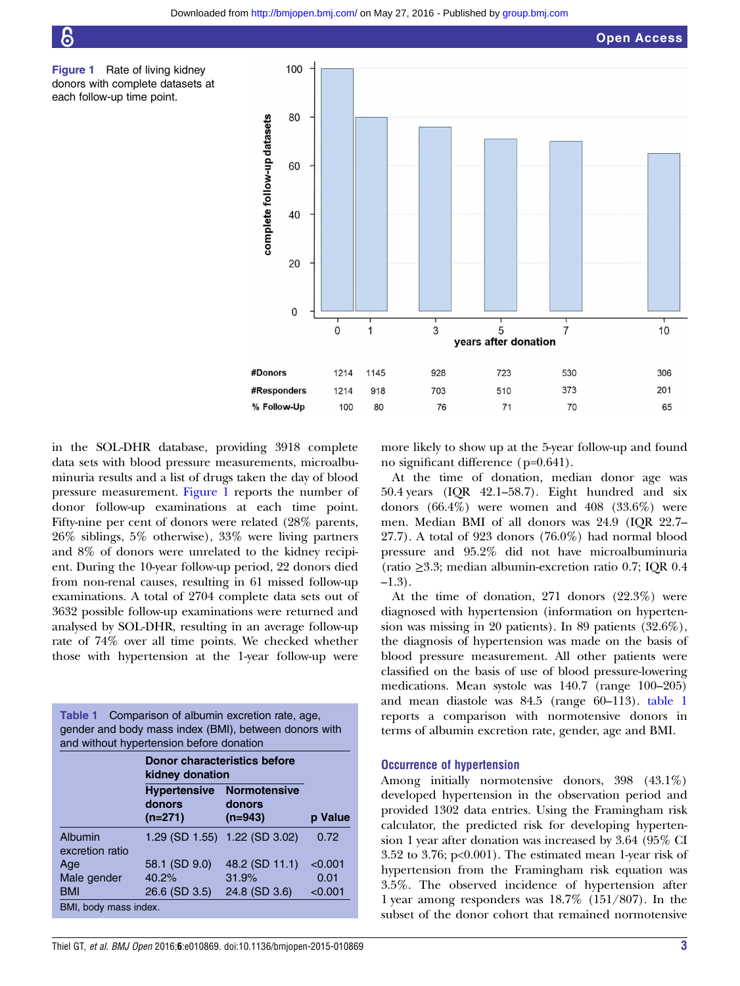<span id="page-2-0"></span>





in the SOL-DHR database, providing 3918 complete data sets with blood pressure measurements, microalbuminuria results and a list of drugs taken the day of blood pressure measurement. Figure 1 reports the number of donor follow-up examinations at each time point. Fifty-nine per cent of donors were related (28% parents, 26% siblings, 5% otherwise), 33% were living partners and 8% of donors were unrelated to the kidney recipient. During the 10-year follow-up period, 22 donors died from non-renal causes, resulting in 61 missed follow-up examinations. A total of 2704 complete data sets out of 3632 possible follow-up examinations were returned and analysed by SOL-DHR, resulting in an average follow-up rate of 74% over all time points. We checked whether those with hypertension at the 1-year follow-up were

| Table 1 Comparison of albumin excretion rate, age,    |
|-------------------------------------------------------|
| gender and body mass index (BMI), between donors with |
| and without hypertension before donation              |

|                            | Donor characteristics before<br>kidney donation |                                                         |         |
|----------------------------|-------------------------------------------------|---------------------------------------------------------|---------|
|                            | donors<br>$(n=271)$                             | <b>Hypertensive Normotensive</b><br>donors<br>$(n=943)$ | p Value |
| Albumin<br>excretion ratio |                                                 | 1.29 (SD 1.55) 1.22 (SD 3.02)                           | 0.72    |
| Age                        | 58.1 (SD 9.0)                                   | 48.2 (SD 11.1)                                          | < 0.001 |
| Male gender                | 40.2%                                           | 31.9%                                                   | 0.01    |
| <b>BMI</b>                 | 26.6 (SD 3.5)                                   | 24.8 (SD 3.6)                                           | < 0.001 |
| BMI, body mass index.      |                                                 |                                                         |         |

more likely to show up at the 5-year follow-up and found no significant difference (p=0.641).

At the time of donation, median donor age was 50.4 years (IQR 42.1–58.7). Eight hundred and six donors (66.4%) were women and 408 (33.6%) were men. Median BMI of all donors was 24.9 (IQR 22.7– 27.7). A total of 923 donors (76.0%) had normal blood pressure and 95.2% did not have microalbuminuria (ratio ≥3.3; median albumin-excretion ratio 0.7; IQR 0.4  $-1.3$ ).

At the time of donation, 271 donors (22.3%) were diagnosed with hypertension (information on hypertension was missing in 20 patients). In 89 patients (32.6%), the diagnosis of hypertension was made on the basis of blood pressure measurement. All other patients were classified on the basis of use of blood pressure-lowering medications. Mean systole was 140.7 (range 100–205) and mean diastole was 84.5 (range 60–113). table 1 reports a comparison with normotensive donors in terms of albumin excretion rate, gender, age and BMI.

#### Occurrence of hypertension

Among initially normotensive donors, 398 (43.1%) developed hypertension in the observation period and provided 1302 data entries. Using the Framingham risk calculator, the predicted risk for developing hypertension 1 year after donation was increased by 3.64 (95% CI 3.52 to 3.76; p<0.001). The estimated mean 1-year risk of hypertension from the Framingham risk equation was 3.5%. The observed incidence of hypertension after 1 year among responders was 18.7% (151/807). In the subset of the donor cohort that remained normotensive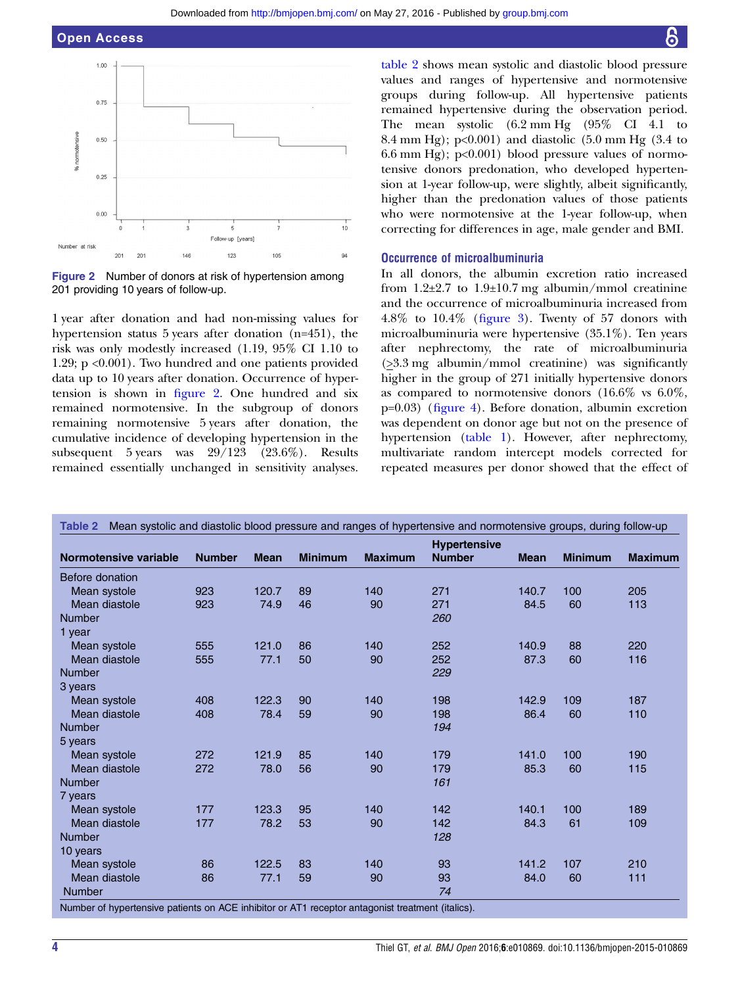



1 year after donation and had non-missing values for hypertension status 5 years after donation (n=451), the risk was only modestly increased (1.19, 95% CI 1.10 to 1.29; p <0.001). Two hundred and one patients provided data up to 10 years after donation. Occurrence of hypertension is shown in figure 2. One hundred and six remained normotensive. In the subgroup of donors remaining normotensive 5 years after donation, the cumulative incidence of developing hypertension in the subsequent 5 years was 29/123 (23.6%). Results remained essentially unchanged in sensitivity analyses.

table 2 shows mean systolic and diastolic blood pressure values and ranges of hypertensive and normotensive groups during follow-up. All hypertensive patients remained hypertensive during the observation period. The mean systolic (6.2 mm Hg (95% CI 4.1 to 8.4 mm Hg); p<0.001) and diastolic (5.0 mm Hg (3.4 to 6.6 mm Hg);  $p<0.001$ ) blood pressure values of normotensive donors predonation, who developed hypertension at 1-year follow-up, were slightly, albeit significantly, higher than the predonation values of those patients who were normotensive at the 1-year follow-up, when correcting for differences in age, male gender and BMI.

## Occurrence of microalbuminuria

In all donors, the albumin excretion ratio increased from  $1.2\pm2.7$  to  $1.9\pm10.7$  mg albumin/mmol creatinine and the occurrence of microalbuminuria increased from 4.8% to 10.4% (fi[gure 3\)](#page-4-0). Twenty of 57 donors with microalbuminuria were hypertensive (35.1%). Ten years after nephrectomy, the rate of microalbuminuria (>3.3 mg albumin/mmol creatinine) was significantly higher in the group of 271 initially hypertensive donors as compared to normotensive donors (16.6% vs 6.0%, p=0.03) (fi[gure 4\)](#page-4-0). Before donation, albumin excretion was dependent on donor age but not on the presence of hypertension ([table 1\)](#page-2-0). However, after nephrectomy, multivariate random intercept models corrected for repeated measures per donor showed that the effect of

|                        |               |             |                |                | <b>Hypertensive</b> |             |                |                |
|------------------------|---------------|-------------|----------------|----------------|---------------------|-------------|----------------|----------------|
| Normotensive variable  | <b>Number</b> | <b>Mean</b> | <b>Minimum</b> | <b>Maximum</b> | <b>Number</b>       | <b>Mean</b> | <b>Minimum</b> | <b>Maximum</b> |
| <b>Before donation</b> |               |             |                |                |                     |             |                |                |
| Mean systole           | 923           | 120.7       | 89             | 140            | 271                 | 140.7       | 100            | 205            |
| Mean diastole          | 923           | 74.9        | 46             | 90             | 271                 | 84.5        | 60             | 113            |
| <b>Number</b>          |               |             |                |                | 260                 |             |                |                |
| 1 year                 |               |             |                |                |                     |             |                |                |
| Mean systole           | 555           | 121.0       | 86             | 140            | 252                 | 140.9       | 88             | 220            |
| Mean diastole          | 555           | 77.1        | 50             | 90             | 252                 | 87.3        | 60             | 116            |
| <b>Number</b>          |               |             |                |                | 229                 |             |                |                |
| 3 years                |               |             |                |                |                     |             |                |                |
| Mean systole           | 408           | 122.3       | 90             | 140            | 198                 | 142.9       | 109            | 187            |
| Mean diastole          | 408           | 78.4        | 59             | 90             | 198                 | 86.4        | 60             | 110            |
| <b>Number</b>          |               |             |                |                | 194                 |             |                |                |
| 5 years                |               |             |                |                |                     |             |                |                |
| Mean systole           | 272           | 121.9       | 85             | 140            | 179                 | 141.0       | 100            | 190            |
| Mean diastole          | 272           | 78.0        | 56             | 90             | 179                 | 85.3        | 60             | 115            |
| <b>Number</b>          |               |             |                |                | 161                 |             |                |                |
| 7 years                |               |             |                |                |                     |             |                |                |
| Mean systole           | 177           | 123.3       | 95             | 140            | 142                 | 140.1       | 100            | 189            |
| Mean diastole          | 177           | 78.2        | 53             | 90             | 142                 | 84.3        | 61             | 109            |
| <b>Number</b>          |               |             |                |                | 128                 |             |                |                |
| 10 years               |               |             |                |                |                     |             |                |                |
| Mean systole           | 86            | 122.5       | 83             | 140            | 93                  | 141.2       | 107            | 210            |
| Mean diastole          | 86            | 77.1        | 59             | 90             | 93                  | 84.0        | 60             | 111            |
| <b>Number</b>          |               |             |                |                | 74                  |             |                |                |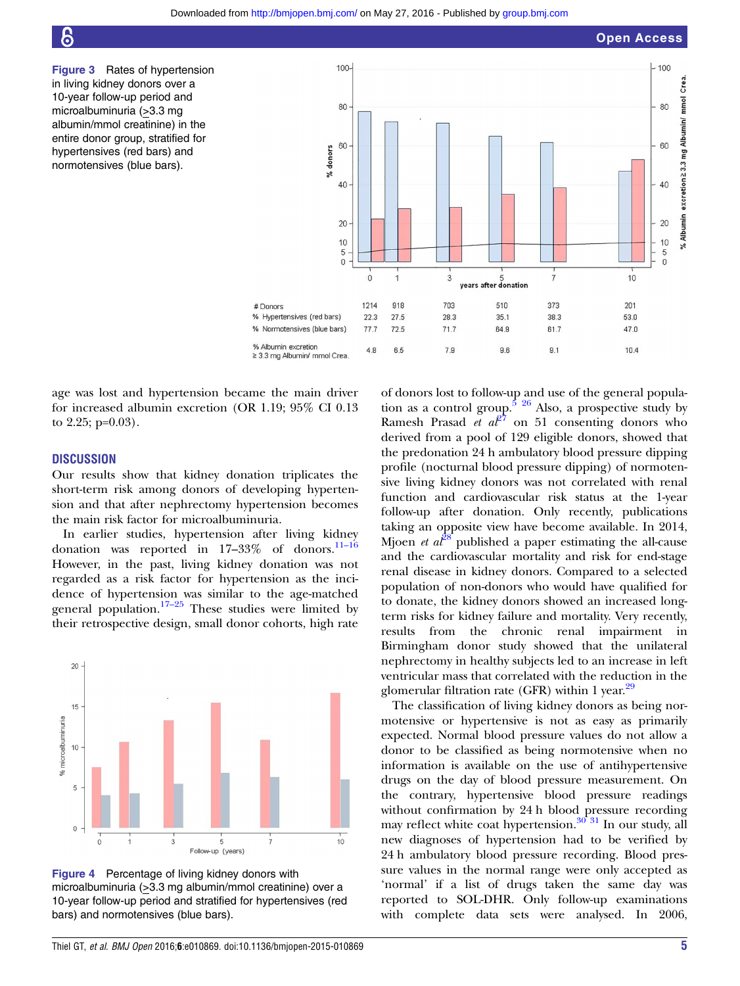<span id="page-4-0"></span>

Figure 3 Rates of hypertension in living kidney donors over a 10-year follow-up period and microalbuminuria (>3.3 mg albumin/mmol creatinine) in the entire donor group, stratified for hypertensives (red bars) and normotensives (blue bars).



age was lost and hypertension became the main driver for increased albumin excretion (OR 1.19; 95% CI 0.13 to 2.25; p=0.03).

#### **DISCUSSION**

Our results show that kidney donation triplicates the short-term risk among donors of developing hypertension and that after nephrectomy hypertension becomes the main risk factor for microalbuminuria.

In earlier studies, hypertension after living kidney donation was reported in  $17-33\%$  of donors.<sup>11-16</sup> However, in the past, living kidney donation was not regarded as a risk factor for hypertension as the incidence of hypertension was similar to the age-matched general population.<sup>17–[25](#page-6-0)</sup> These studies were limited by their retrospective design, small donor cohorts, high rate



Figure 4 Percentage of living kidney donors with microalbuminuria (>3.3 mg albumin/mmol creatinine) over a 10-year follow-up period and stratified for hypertensives (red bars) and normotensives (blue bars).

of donors lost to follow-up and use of the general population as a control group.<sup>5</sup>  $26$  Also, a prospective study by Ramesh Prasad *et a* $\ell^2$  on 51 consenting donors who derived from a pool of 129 eligible donors, showed that the predonation 24 h ambulatory blood pressure dipping profile (nocturnal blood pressure dipping) of normotensive living kidney donors was not correlated with renal function and cardiovascular risk status at the 1-year follow-up after donation. Only recently, publications taking an opposite view have become available. In 2014, Mjoen *et al*<sup>[28](#page-7-0)</sup> published a paper estimating the all-cause and the cardiovascular mortality and risk for end-stage renal disease in kidney donors. Compared to a selected population of non-donors who would have qualified for to donate, the kidney donors showed an increased longterm risks for kidney failure and mortality. Very recently, results from the chronic renal impairment in Birmingham donor study showed that the unilateral nephrectomy in healthy subjects led to an increase in left ventricular mass that correlated with the reduction in the glomerular filtration rate (GFR) within 1 year. $29$ 

The classification of living kidney donors as being normotensive or hypertensive is not as easy as primarily expected. Normal blood pressure values do not allow a donor to be classified as being normotensive when no information is available on the use of antihypertensive drugs on the day of blood pressure measurement. On the contrary, hypertensive blood pressure readings without confirmation by 24 h blood pressure recording may reflect white coat hypertension.<sup>[30 31](#page-7-0)</sup> In our study, all new diagnoses of hypertension had to be verified by 24 h ambulatory blood pressure recording. Blood pressure values in the normal range were only accepted as 'normal' if a list of drugs taken the same day was reported to SOL-DHR. Only follow-up examinations with complete data sets were analysed. In 2006,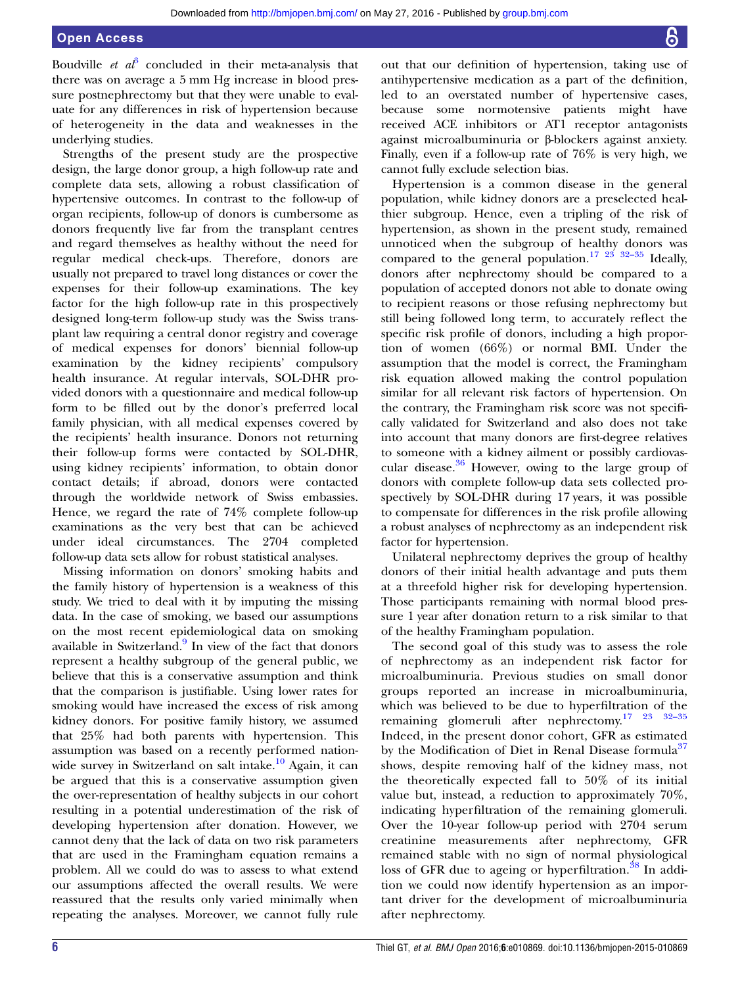Boudville *et a* $\hat{i}$  concluded in their meta-analysis that there was on average a 5 mm Hg increase in blood pressure postnephrectomy but that they were unable to evaluate for any differences in risk of hypertension because of heterogeneity in the data and weaknesses in the underlying studies.

Strengths of the present study are the prospective design, the large donor group, a high follow-up rate and complete data sets, allowing a robust classification of hypertensive outcomes. In contrast to the follow-up of organ recipients, follow-up of donors is cumbersome as donors frequently live far from the transplant centres and regard themselves as healthy without the need for regular medical check-ups. Therefore, donors are usually not prepared to travel long distances or cover the expenses for their follow-up examinations. The key factor for the high follow-up rate in this prospectively designed long-term follow-up study was the Swiss transplant law requiring a central donor registry and coverage of medical expenses for donors' biennial follow-up examination by the kidney recipients' compulsory health insurance. At regular intervals, SOL-DHR provided donors with a questionnaire and medical follow-up form to be filled out by the donor's preferred local family physician, with all medical expenses covered by the recipients' health insurance. Donors not returning their follow-up forms were contacted by SOL-DHR, using kidney recipients' information, to obtain donor contact details; if abroad, donors were contacted through the worldwide network of Swiss embassies. Hence, we regard the rate of 74% complete follow-up examinations as the very best that can be achieved under ideal circumstances. The 2704 completed follow-up data sets allow for robust statistical analyses.

Missing information on donors' smoking habits and the family history of hypertension is a weakness of this study. We tried to deal with it by imputing the missing data. In the case of smoking, we based our assumptions on the most recent epidemiological data on smoking available in Switzerland.<sup>[9](#page-6-0)</sup> In view of the fact that donors represent a healthy subgroup of the general public, we believe that this is a conservative assumption and think that the comparison is justifiable. Using lower rates for smoking would have increased the excess of risk among kidney donors. For positive family history, we assumed that 25% had both parents with hypertension. This assumption was based on a recently performed nationwide survey in Switzerland on salt intake. $\frac{10}{10}$  $\frac{10}{10}$  $\frac{10}{10}$  Again, it can be argued that this is a conservative assumption given the over-representation of healthy subjects in our cohort resulting in a potential underestimation of the risk of developing hypertension after donation. However, we cannot deny that the lack of data on two risk parameters that are used in the Framingham equation remains a problem. All we could do was to assess to what extend our assumptions affected the overall results. We were reassured that the results only varied minimally when repeating the analyses. Moreover, we cannot fully rule

out that our definition of hypertension, taking use of antihypertensive medication as a part of the definition, led to an overstated number of hypertensive cases, because some normotensive patients might have received ACE inhibitors or AT1 receptor antagonists against microalbuminuria or β-blockers against anxiety. Finally, even if a follow-up rate of 76% is very high, we cannot fully exclude selection bias.

Hypertension is a common disease in the general population, while kidney donors are a preselected healthier subgroup. Hence, even a tripling of the risk of hypertension, as shown in the present study, remained unnoticed when the subgroup of healthy donors was compared to the general population.<sup>[17](#page-6-0) [23 32](#page-7-0)–35</sup> Ideally, donors after nephrectomy should be compared to a population of accepted donors not able to donate owing to recipient reasons or those refusing nephrectomy but still being followed long term, to accurately reflect the specific risk profile of donors, including a high proportion of women (66%) or normal BMI. Under the assumption that the model is correct, the Framingham risk equation allowed making the control population similar for all relevant risk factors of hypertension. On the contrary, the Framingham risk score was not specifically validated for Switzerland and also does not take into account that many donors are first-degree relatives to someone with a kidney ailment or possibly cardiovascular disease. $36$  However, owing to the large group of donors with complete follow-up data sets collected prospectively by SOL-DHR during 17 years, it was possible to compensate for differences in the risk profile allowing a robust analyses of nephrectomy as an independent risk factor for hypertension.

Unilateral nephrectomy deprives the group of healthy donors of their initial health advantage and puts them at a threefold higher risk for developing hypertension. Those participants remaining with normal blood pressure 1 year after donation return to a risk similar to that of the healthy Framingham population.

The second goal of this study was to assess the role of nephrectomy as an independent risk factor for microalbuminuria. Previous studies on small donor groups reported an increase in microalbuminuria, which was believed to be due to hyperfiltration of the remaining glomeruli after nephrectomy.[17](#page-6-0) [23 32](#page-7-0)–<sup>35</sup> Indeed, in the present donor cohort, GFR as estimated by the Modification of Diet in Renal Disease formula<sup>[37](#page-7-0)</sup> shows, despite removing half of the kidney mass, not the theoretically expected fall to 50% of its initial value but, instead, a reduction to approximately 70%, indicating hyperfiltration of the remaining glomeruli. Over the 10-year follow-up period with 2704 serum creatinine measurements after nephrectomy, GFR remained stable with no sign of normal physiological loss of GFR due to ageing or hyperfiltration.<sup>[38](#page-7-0)</sup> In addition we could now identify hypertension as an important driver for the development of microalbuminuria after nephrectomy.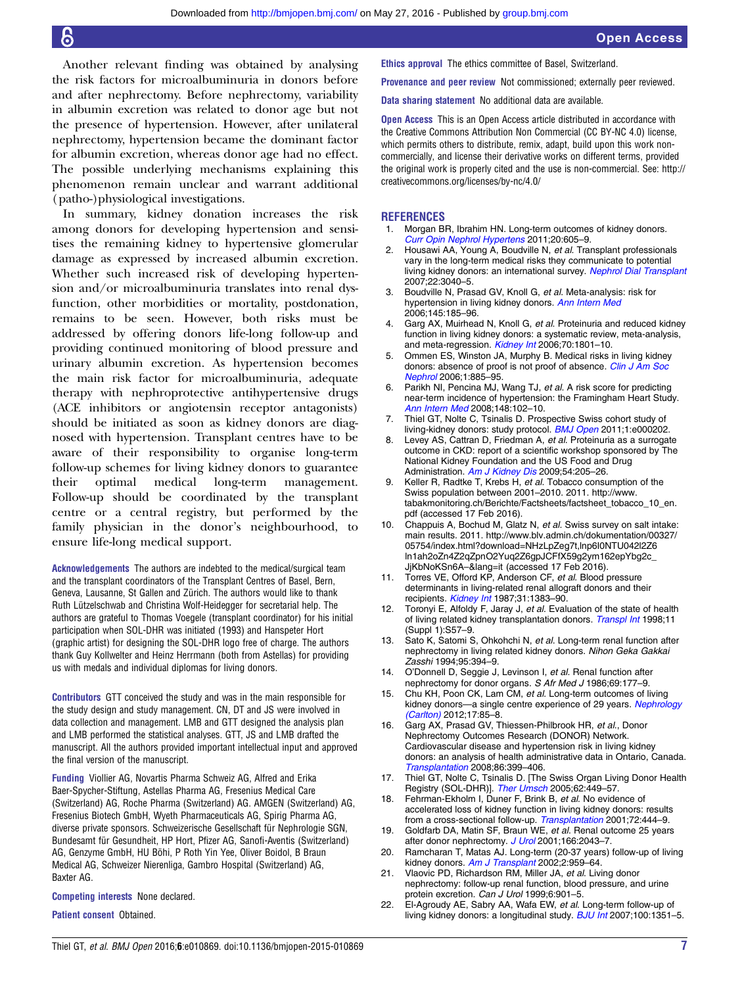<span id="page-6-0"></span>Another relevant finding was obtained by analysing the risk factors for microalbuminuria in donors before and after nephrectomy. Before nephrectomy, variability in albumin excretion was related to donor age but not the presence of hypertension. However, after unilateral nephrectomy, hypertension became the dominant factor for albumin excretion, whereas donor age had no effect. The possible underlying mechanisms explaining this phenomenon remain unclear and warrant additional (patho-)physiological investigations.

In summary, kidney donation increases the risk among donors for developing hypertension and sensitises the remaining kidney to hypertensive glomerular damage as expressed by increased albumin excretion. Whether such increased risk of developing hypertension and/or microalbuminuria translates into renal dysfunction, other morbidities or mortality, postdonation, remains to be seen. However, both risks must be addressed by offering donors life-long follow-up and providing continued monitoring of blood pressure and urinary albumin excretion. As hypertension becomes the main risk factor for microalbuminuria, adequate therapy with nephroprotective antihypertensive drugs (ACE inhibitors or angiotensin receptor antagonists) should be initiated as soon as kidney donors are diagnosed with hypertension. Transplant centres have to be aware of their responsibility to organise long-term follow-up schemes for living kidney donors to guarantee their optimal medical long-term management. Follow-up should be coordinated by the transplant centre or a central registry, but performed by the family physician in the donor's neighbourhood, to ensure life-long medical support.

Acknowledgements The authors are indebted to the medical/surgical team and the transplant coordinators of the Transplant Centres of Basel, Bern, Geneva, Lausanne, St Gallen and Zürich. The authors would like to thank Ruth Lützelschwab and Christina Wolf-Heidegger for secretarial help. The authors are grateful to Thomas Voegele (transplant coordinator) for his initial participation when SOL-DHR was initiated (1993) and Hanspeter Hort (graphic artist) for designing the SOL-DHR logo free of charge. The authors thank Guy Kollwelter and Heinz Herrmann (both from Astellas) for providing us with medals and individual diplomas for living donors.

Contributors GTT conceived the study and was in the main responsible for the study design and study management. CN, DT and JS were involved in data collection and management. LMB and GTT designed the analysis plan and LMB performed the statistical analyses. GTT, JS and LMB drafted the manuscript. All the authors provided important intellectual input and approved the final version of the manuscript.

Funding Viollier AG, Novartis Pharma Schweiz AG, Alfred and Erika Baer-Spycher-Stiftung, Astellas Pharma AG, Fresenius Medical Care (Switzerland) AG, Roche Pharma (Switzerland) AG. AMGEN (Switzerland) AG, Fresenius Biotech GmbH, Wyeth Pharmaceuticals AG, Spirig Pharma AG, diverse private sponsors. Schweizerische Gesellschaft für Nephrologie SGN, Bundesamt für Gesundheit, HP Hort, Pfizer AG, Sanofi-Aventis (Switzerland) AG, Genzyme GmbH, HU Böhi, P Roth Yin Yee, Oliver Boidol, B Braun Medical AG, Schweizer Nierenliga, Gambro Hospital (Switzerland) AG, Baxter AG.

#### Competing interests None declared.

#### Patient consent Obtained.

Ethics approval The ethics committee of Basel, Switzerland.

Provenance and peer review Not commissioned; externally peer reviewed.

Data sharing statement No additional data are available.

Open Access This is an Open Access article distributed in accordance with the Creative Commons Attribution Non Commercial (CC BY-NC 4.0) license, which permits others to distribute, remix, adapt, build upon this work noncommercially, and license their derivative works on different terms, provided the original work is properly cited and the use is non-commercial. See: [http://](http://creativecommons.org/licenses/by-nc/4.0/) [creativecommons.org/licenses/by-nc/4.0/](http://creativecommons.org/licenses/by-nc/4.0/)

#### **REFERENCES**

- 1. Morgan BR, Ibrahim HN. Long-term outcomes of kidney donors. [Curr Opin Nephrol Hypertens](http://dx.doi.org/10.1097/MNH.0b013e32834bd72b) 2011;20:605–9.
- Housawi AA, Young A, Boudville N, et al. Transplant professionals vary in the long-term medical risks they communicate to potential living kidney donors: an international survey. [Nephrol Dial Transplant](http://dx.doi.org/10.1093/ndt/gfm305) 2007;22:3040–5.
- 3. Boudville N, Prasad GV, Knoll G, et al. Meta-analysis: risk for hypertension in living kidney donors. [Ann Intern Med](http://dx.doi.org/10.7326/0003-4819-145-3-200608010-00006) 2006;145:185–96.
- Garg AX, Muirhead N, Knoll G, et al. Proteinuria and reduced kidney function in living kidney donors: a systematic review, meta-analysis, and meta-regression. [Kidney Int](http://dx.doi.org/10.1038/sj.ki.5001819) 2006;70:1801-10.
- 5. Ommen ES, Winston JA, Murphy B. Medical risks in living kidney donors: absence of proof is not proof of absence. [Clin J Am Soc](http://dx.doi.org/10.2215/CJN.00840306) [Nephrol](http://dx.doi.org/10.2215/CJN.00840306) 2006;1:885–95.
- 6. Parikh NI, Pencina MJ, Wang TJ, et al. A risk score for predicting near-term incidence of hypertension: the Framingham Heart Study. [Ann Intern Med](http://dx.doi.org/10.7326/0003-4819-148-2-200801150-00005) 2008;148:102–10.
- 7. Thiel GT, Nolte C, Tsinalis D. Prospective Swiss cohort study of living-kidney donors: study protocol. **[BMJ Open](http://dx.doi.org/10.1136/bmjopen-2011-000202) 2011**;1:e000202.
- 8. Levey AS, Cattran D, Friedman A, et al. Proteinuria as a surrogate outcome in CKD: report of a scientific workshop sponsored by The National Kidney Foundation and the US Food and Drug Administration. [Am J Kidney Dis](http://dx.doi.org/10.1053/j.ajkd.2009.04.029) 2009;54:205-26.
- Keller R, Radtke T, Krebs H, et al. Tobacco consumption of the Swiss population between 2001–2010. 2011. [http://www.](http://www.tabakmonitoring.ch/Berichte/Factsheets/factsheet_tobacco_10_en.pdf) [tabakmonitoring.ch/Berichte/Factsheets/factsheet\\_tobacco\\_10\\_en.](http://www.tabakmonitoring.ch/Berichte/Factsheets/factsheet_tobacco_10_en.pdf) [pdf](http://www.tabakmonitoring.ch/Berichte/Factsheets/factsheet_tobacco_10_en.pdf) (accessed 17 Feb 2016).
- 10. Chappuis A, Bochud M, Glatz N, et al. Swiss survey on salt intake: main results. 2011. [http://www.blv.admin.ch/dokumentation/00327/](http://www.blv.admin.ch/dokumentation/00327/05754/index.html?download=NHzLpZeg7t,lnp6I0NTU042l2Z6ln1ah2oZn4Z2qZpnO2Yuq2Z6gpJCFfX59g2ym162epYbg2c_JjKbNoKSn6A--&lang=it) [05754/index.html?download=NHzLpZeg7t,lnp6I0NTU042l2Z6](http://www.blv.admin.ch/dokumentation/00327/05754/index.html?download=NHzLpZeg7t,lnp6I0NTU042l2Z6ln1ah2oZn4Z2qZpnO2Yuq2Z6gpJCFfX59g2ym162epYbg2c_JjKbNoKSn6A--&lang=it) [ln1ah2oZn4Z2qZpnO2Yuq2Z6gpJCFfX59g2ym162epYbg2c\\_](http://www.blv.admin.ch/dokumentation/00327/05754/index.html?download=NHzLpZeg7t,lnp6I0NTU042l2Z6ln1ah2oZn4Z2qZpnO2Yuq2Z6gpJCFfX59g2ym162epYbg2c_JjKbNoKSn6A--&lang=it) [JjKbNoKSn6A](http://www.blv.admin.ch/dokumentation/00327/05754/index.html?download=NHzLpZeg7t,lnp6I0NTU042l2Z6ln1ah2oZn4Z2qZpnO2Yuq2Z6gpJCFfX59g2ym162epYbg2c_JjKbNoKSn6A--&lang=it)–&lang=it (accessed 17 Feb 2016).
- 11. Torres VE, Offord KP, Anderson CF, et al. Blood pressure determinants in living-related renal allograft donors and their recipients. [Kidney Int](http://dx.doi.org/10.1038/ki.1987.153) 1987;31:1383-90.
- 12. Toronyi E, Alfoldy F, Jaray J, et al. Evaluation of the state of health of living related kidney transplantation donors. [Transpl Int](http://dx.doi.org/10.1007/s001470050426) 1998;11 (Suppl 1):S57–9.
- 13. Sato K, Satomi S, Ohkohchi N, et al. Long-term renal function after nephrectomy in living related kidney donors. Nihon Geka Gakkai Zasshi 1994;95:394–9.
- 14. O'Donnell D, Seggie J, Levinson I, et al. Renal function after nephrectomy for donor organs. S Afr Med J 1986;69:177–9.
- 15. Chu KH, Poon CK, Lam CM, et al. Long-term outcomes of living kidney donors-a single centre experience of 29 years. [Nephrology](http://dx.doi.org/10.1111/j.1440-1797.2011.01524.x) [\(Carlton\)](http://dx.doi.org/10.1111/j.1440-1797.2011.01524.x) 2012;17:85–8.
- 16. Garg AX, Prasad GV, Thiessen-Philbrook HR, et al., Donor Nephrectomy Outcomes Research (DONOR) Network. Cardiovascular disease and hypertension risk in living kidney donors: an analysis of health administrative data in Ontario, Canada. [Transplantation](http://dx.doi.org/10.1097/TP.0b013e31817ba9e3) 2008;86:399–406.
- 17. Thiel GT, Nolte C, Tsinalis D. [The Swiss Organ Living Donor Health Registry (SOL-DHR)]. [Ther Umsch](http://dx.doi.org/10.1024/0040-5930.62.7.449) 2005;62:449-57.
- 18. Fehrman-Ekholm I, Duner F, Brink B, et al. No evidence of accelerated loss of kidney function in living kidney donors: results from a cross-sectional follow-up. [Transplantation](http://dx.doi.org/10.1097/00007890-200108150-00015) 2001;72:444–9.
- 19. Goldfarb DA, Matin SF, Braun WE, et al. Renal outcome 25 years after donor nephrectomy. [J Urol](http://dx.doi.org/10.1016/S0022-5347(05)65502-4) 2001;166:2043-7
- 20. Ramcharan T, Matas AJ. Long-term (20-37 years) follow-up of living kidney donors. [Am J Transplant](http://dx.doi.org/10.1034/j.1600-6143.2002.21013.x) 2002;2:959-64.
- 21. Vlaovic PD, Richardson RM, Miller JA, et al. Living donor nephrectomy: follow-up renal function, blood pressure, and urine protein excretion. Can J Urol 1999;6:901-5.
- 22. El-Agroudy AE, Sabry AA, Wafa EW, et al. Long-term follow-up of living kidney donors: a longitudinal study. **[BJU Int](http://dx.doi.org/10.1111/j.1464-410X.2007.07054.x) 2007;100:1351-5.**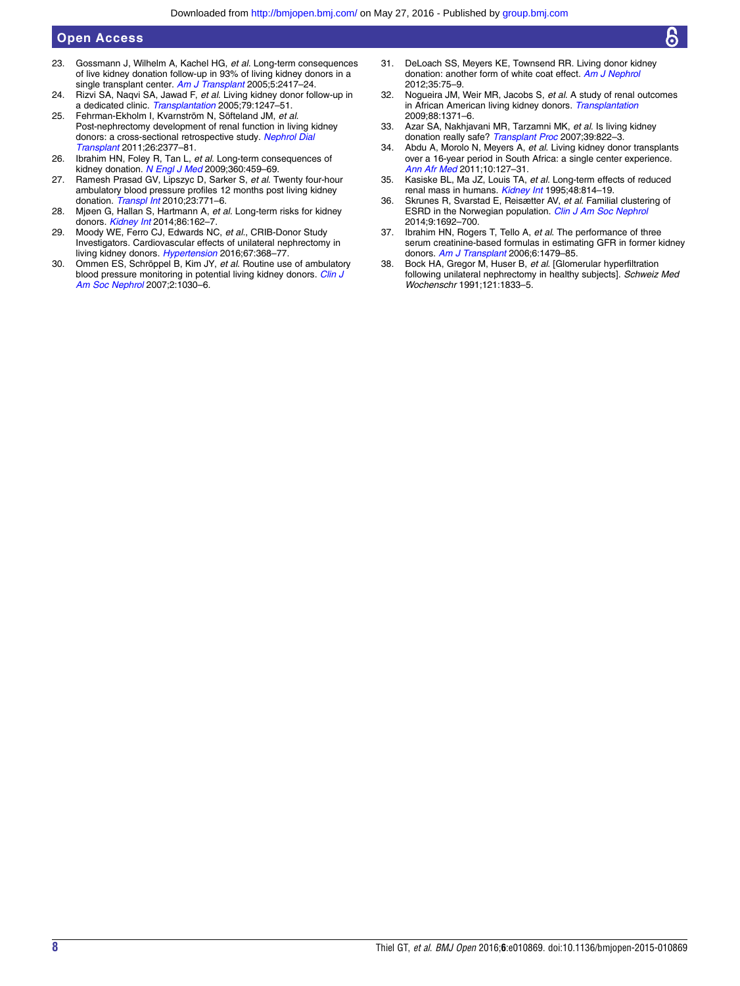## <span id="page-7-0"></span>Open Access

- 23. Gossmann J, Wilhelm A, Kachel HG, et al. Long-term consequences of live kidney donation follow-up in 93% of living kidney donors in a single transplant center. [Am J Transplant](http://dx.doi.org/10.1111/j.1600-6143.2005.01037.x) 2005;5:2417-24.
- 24. Rizvi SA, Naqvi SA, Jawad F, et al. Living kidney donor follow-up in a dedicated clinic. [Transplantation](http://dx.doi.org/10.1097/01.TP.0000161666.05236.97) 2005;79:1247-51.
- 25. Fehrman-Ekholm I, Kvarnström N, Söfteland JM, et al. Post-nephrectomy development of renal function in living kidney donors: a cross-sectional retrospective study. [Nephrol Dial](http://dx.doi.org/10.1093/ndt/gfr161) [Transplant](http://dx.doi.org/10.1093/ndt/gfr161) 2011;26:2377–81.
- 26. Ibrahim HN, Foley R, Tan L, et al. Long-term consequences of kidney donation. [N Engl J Med](http://dx.doi.org/10.1056/NEJMoa0804883) 2009;360:459-69.
- 27. Ramesh Prasad GV, Lipszyc D, Sarker S, et al. Twenty four-hour ambulatory blood pressure profiles 12 months post living kidney donation. [Transpl Int](http://dx.doi.org/10.1111/j.1432-2277.2009.01040.x) 2010;23:771-6.
- 28. Mjøen G, Hallan S, Hartmann A, et al. Long-term risks for kidney donors. [Kidney Int](http://dx.doi.org/10.1038/ki.2013.460) 2014;86:162–7.
- 29. Moody WE, Ferro CJ, Edwards NC, et al., CRIB-Donor Study Investigators. Cardiovascular effects of unilateral nephrectomy in living kidney donors. [Hypertension](http://dx.doi.org/10.1161/HYPERTENSIONAHA.115.06608) 2016;67:368-77.
- 30. Ommen ES, Schröppel B, Kim JY, et al. Routine use of ambulatory blood pressure monitoring in potential living kidney donors. [Clin J](http://dx.doi.org/10.2215/CJN.01240307) [Am Soc Nephrol](http://dx.doi.org/10.2215/CJN.01240307) 2007;2:1030–6.
- 31. DeLoach SS, Meyers KE, Townsend RR. Living donor kidney donation: another form of white coat effect. [Am J Nephrol](http://dx.doi.org/10.1159/000335070) 2012;35:75–9.
- 32. Nogueira JM, Weir MR, Jacobs S, et al. A study of renal outcomes in African American living kidney donors. [Transplantation](http://dx.doi.org/10.1097/TP.0b013e3181c1e156) 2009;88:1371–6.
- 33. Azar SA, Nakhjavani MR, Tarzamni MK, et al. Is living kidney donation really safe? [Transplant Proc](http://dx.doi.org/10.1016/j.transproceed.2007.04.017) 2007;39:822-3.
- 34. Abdu A, Morolo N, Meyers A, et al. Living kidney donor transplants over a 16-year period in South Africa: a single center experience. [Ann Afr Med](http://dx.doi.org/10.4103/1596-3519.82077) 2011;10:127–31.
- 35. Kasiske BL, Ma JZ, Louis TA, et al. Long-term effects of reduced renal mass in humans. [Kidney Int](http://dx.doi.org/10.1038/ki.1995.355) 1995;48:814-19.
- 36. Skrunes R, Svarstad E, Reisætter AV, et al. Familial clustering of ESRD in the Norwegian population. [Clin J Am Soc Nephrol](http://dx.doi.org/10.2215/CJN.01680214) 2014;9:1692–700.
- 37. Ibrahim HN, Rogers T, Tello A, et al. The performance of three serum creatinine-based formulas in estimating GFR in former kidney donors. [Am J Transplant](http://dx.doi.org/10.1111/j.1600-6143.2006.01335.x) 2006;6:1479–85.
- 38. Bock HA, Gregor M, Huser B, et al. [Glomerular hyperfiltration following unilateral nephrectomy in healthy subjects]. Schweiz Med Wochenschr 1991;121:1833–5.